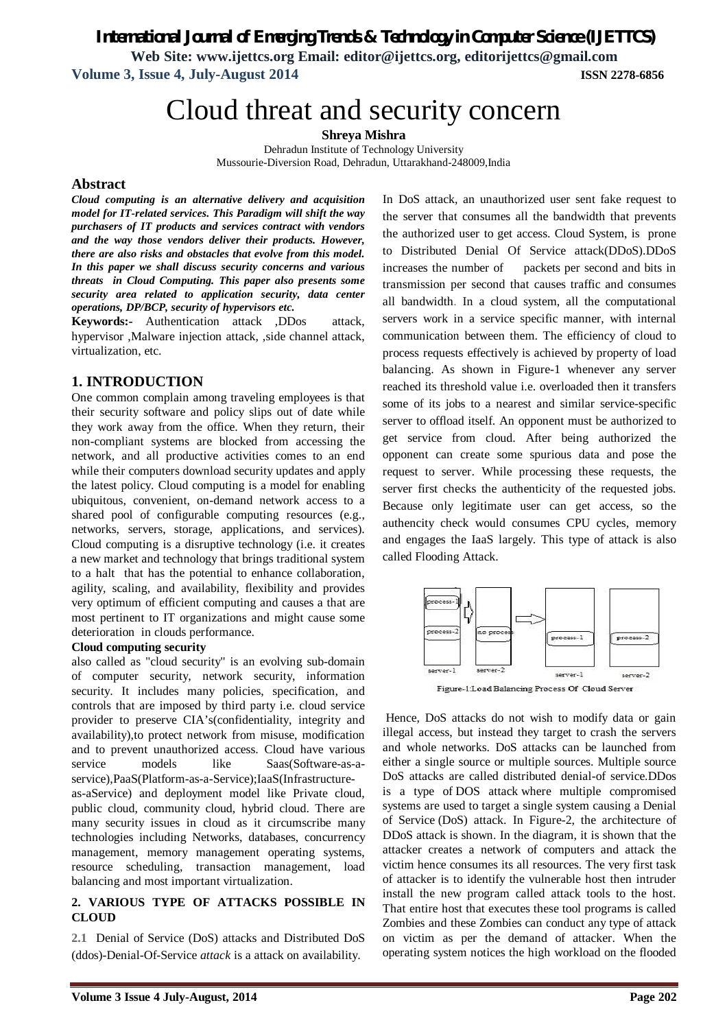# Cloud threat and security concern

**Shreya Mishra**

Dehradun Institute of Technology University Mussourie-Diversion Road, Dehradun, Uttarakhand-248009,India

## **Abstract**

*Cloud computing is an alternative delivery and acquisition model for IT-related services. This Paradigm will shift the way purchasers of IT products and services contract with vendors and the way those vendors deliver their products. However, there are also risks and obstacles that evolve from this model. In this paper we shall discuss security concerns and various threats in Cloud Computing. This paper also presents some security area related to application security, data center operations, DP/BCP, security of hypervisors etc.*

**Keywords:-** Authentication attack ,DDos attack, hypervisor ,Malware injection attack, ,side channel attack, virtualization, etc.

## **1. INTRODUCTION**

One common complain among traveling employees is that their security software and policy slips out of date while they work away from the office. When they return, their non-compliant systems are blocked from accessing the network, and all productive activities comes to an end while their computers download security updates and apply the latest policy. Cloud computing is a model for enabling ubiquitous, convenient, on-demand network access to a shared pool of configurable computing resources (e.g., networks, servers, storage, applications, and services). Cloud computing is a disruptive technology (i.e. it creates a new market and technology that brings traditional system to a halt that has the potential to enhance collaboration, agility, scaling, and availability, flexibility and provides very optimum of efficient computing and causes a that are most pertinent to IT organizations and might cause some deterioration in clouds performance.

## **Cloud computing security**

also called as "cloud security" is an evolving sub-domain of computer security, network security, information security. It includes many policies, specification, and controls that are imposed by third party i.e. cloud service provider to preserve CIA's(confidentiality, integrity and availability),to protect network from misuse, modification and to prevent unauthorized access. Cloud have various service models like Saas(Software-as-aservice),PaaS(Platform-as-a-Service);IaaS(Infrastructureas-aService) and deployment model like Private cloud, public cloud, community cloud, hybrid cloud. There are many security issues in cloud as it circumscribe many technologies including Networks, databases, concurrency management, memory management operating systems, resource scheduling, transaction management, load balancing and most important virtualization.

#### **2. VARIOUS TYPE OF ATTACKS POSSIBLE IN CLOUD**

**2.1** Denial of Service (DoS) attacks and Distributed DoS (ddos)-Denial-Of-Service *attack* is a attack on availability.

In DoS attack, an unauthorized user sent fake request to the server that consumes all the bandwidth that prevents the authorized user to get access. Cloud System, is prone to Distributed Denial Of Service attack(DDoS).DDoS increases the number of packets per second and bits in transmission per second that causes traffic and consumes all bandwidth. In a cloud system, all the computational servers work in a service specific manner, with internal communication between them. The efficiency of cloud to process requests effectively is achieved by property of load balancing. As shown in Figure-1 whenever any server reached its threshold value i.e. overloaded then it transfers some of its jobs to a nearest and similar service-specific server to offload itself. An opponent must be authorized to get service from cloud. After being authorized the opponent can create some spurious data and pose the request to server. While processing these requests, the server first checks the authenticity of the requested jobs. Because only legitimate user can get access, so the authencity check would consumes CPU cycles, memory and engages the IaaS largely. This type of attack is also called Flooding Attack.



Figure-1:Load Balancing Process Of Cloud Server

Hence, DoS attacks do not wish to modify data or gain illegal access, but instead they target to crash the servers and whole networks. DoS attacks can be launched from either a single source or multiple sources. Multiple source DoS attacks are called distributed denial-of service.DDos is a type of DOS attack where multiple compromised systems are used to target a single system causing a Denial of Service (DoS) attack. In Figure-2, the architecture of DDoS attack is shown. In the diagram, it is shown that the attacker creates a network of computers and attack the victim hence consumes its all resources. The very first task of attacker is to identify the vulnerable host then intruder install the new program called attack tools to the host. That entire host that executes these tool programs is called Zombies and these Zombies can conduct any type of attack on victim as per the demand of attacker. When the operating system notices the high workload on the flooded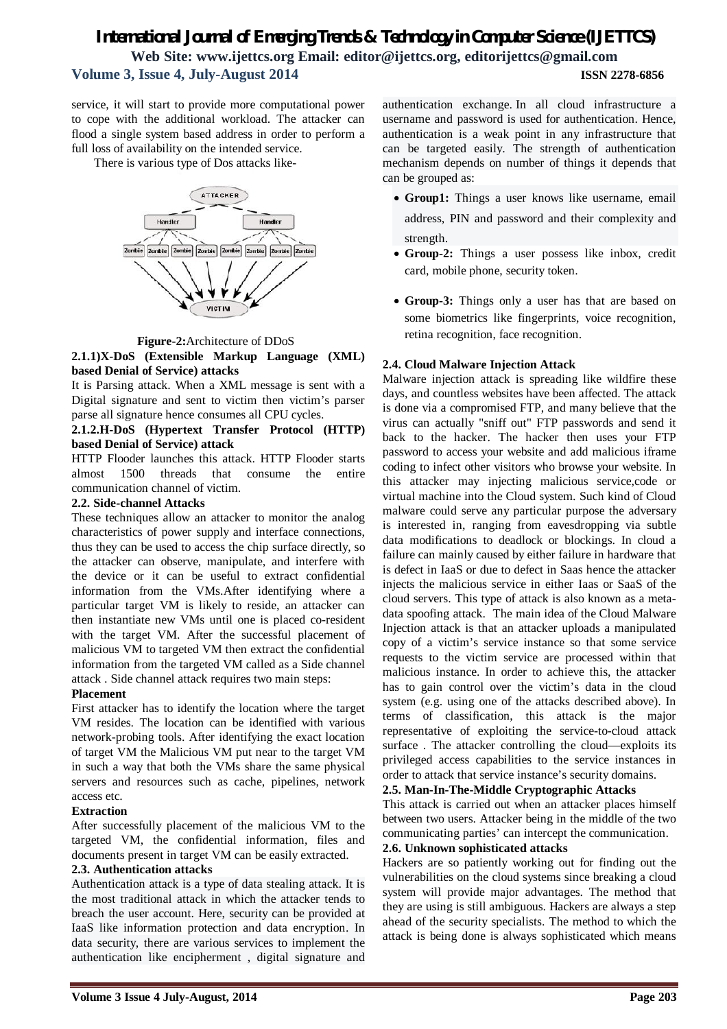service, it will start to provide more computational power to cope with the additional workload. The attacker can flood a single system based address in order to perform a full loss of availability on the intended service.

There is various type of Dos attacks like-



**Figure-2:**Architecture of DDoS

## **2.1.1)X-DoS (Extensible Markup Language (XML) based Denial of Service) attacks**

It is Parsing attack. When a XML message is sent with a Digital signature and sent to victim then victim's parser parse all signature hence consumes all CPU cycles.

#### **2.1.2.H-DoS (Hypertext Transfer Protocol (HTTP) based Denial of Service) attack**

HTTP Flooder launches this attack. HTTP Flooder starts almost 1500 threads that consume the entire communication channel of victim.

#### **2.2. Side-channel Attacks**

These techniques allow an attacker to monitor the analog characteristics of power supply and interface connections, thus they can be used to access the chip surface directly, so the attacker can observe, manipulate, and interfere with the device or it can be useful to extract confidential information from the VMs.After identifying where a particular target VM is likely to reside, an attacker can then instantiate new VMs until one is placed co-resident with the target VM. After the successful placement of malicious VM to targeted VM then extract the confidential information from the targeted VM called as a Side channel attack . Side channel attack requires two main steps:

#### **Placement**

First attacker has to identify the location where the target VM resides. The location can be identified with various network-probing tools. After identifying the exact location of target VM the Malicious VM put near to the target VM in such a way that both the VMs share the same physical servers and resources such as cache, pipelines, network access etc.

#### **Extraction**

After successfully placement of the malicious VM to the targeted VM, the confidential information, files and documents present in target VM can be easily extracted.

#### **2.3. Authentication attacks**

Authentication attack is a type of data stealing attack. It is the most traditional attack in which the attacker tends to breach the user account. Here, security can be provided at IaaS like information protection and data encryption. In data security, there are various services to implement the authentication like encipherment , digital signature and

authentication exchange. In all cloud infrastructure a username and password is used for authentication. Hence, authentication is a weak point in any infrastructure that can be targeted easily. The strength of authentication mechanism depends on number of things it depends that can be grouped as:

- **Group1:** Things a user knows like username, email address, PIN and password and their complexity and strength.
- **Group-2:** Things a user possess like inbox, credit card, mobile phone, security token.
- **Group-3:** Things only a user has that are based on some biometrics like fingerprints, voice recognition, retina recognition, face recognition.

#### **2.4. Cloud Malware Injection Attack**

Malware injection attack is spreading like wildfire these days, and countless websites have been affected. The attack is done via a compromised FTP, and many believe that the virus can actually "sniff out" FTP passwords and send it back to the hacker. The hacker then uses your FTP password to access your website and add malicious iframe coding to infect other visitors who browse your website. In this attacker may injecting malicious service,code or virtual machine into the Cloud system. Such kind of Cloud malware could serve any particular purpose the adversary is interested in, ranging from eavesdropping via subtle data modifications to deadlock or blockings. In cloud a failure can mainly caused by either failure in hardware that is defect in IaaS or due to defect in Saas hence the attacker injects the malicious service in either Iaas or SaaS of the cloud servers. This type of attack is also known as a metadata spoofing attack. The main idea of the Cloud Malware Injection attack is that an attacker uploads a manipulated copy of a victim's service instance so that some service requests to the victim service are processed within that malicious instance. In order to achieve this, the attacker has to gain control over the victim's data in the cloud system (e.g. using one of the attacks described above). In terms of classification, this attack is the major representative of exploiting the service-to-cloud attack surface . The attacker controlling the cloud—exploits its privileged access capabilities to the service instances in order to attack that service instance's security domains.

#### **2.5. Man-In-The-Middle Cryptographic Attacks**

This attack is carried out when an attacker places himself between two users. Attacker being in the middle of the two communicating parties' can intercept the communication.

## **2.6. Unknown sophisticated attacks**

Hackers are so patiently working out for finding out the vulnerabilities on the cloud systems since breaking a cloud system will provide major advantages. The method that they are using is still ambiguous. Hackers are always a step ahead of the security specialists. The method to which the attack is being done is always sophisticated which means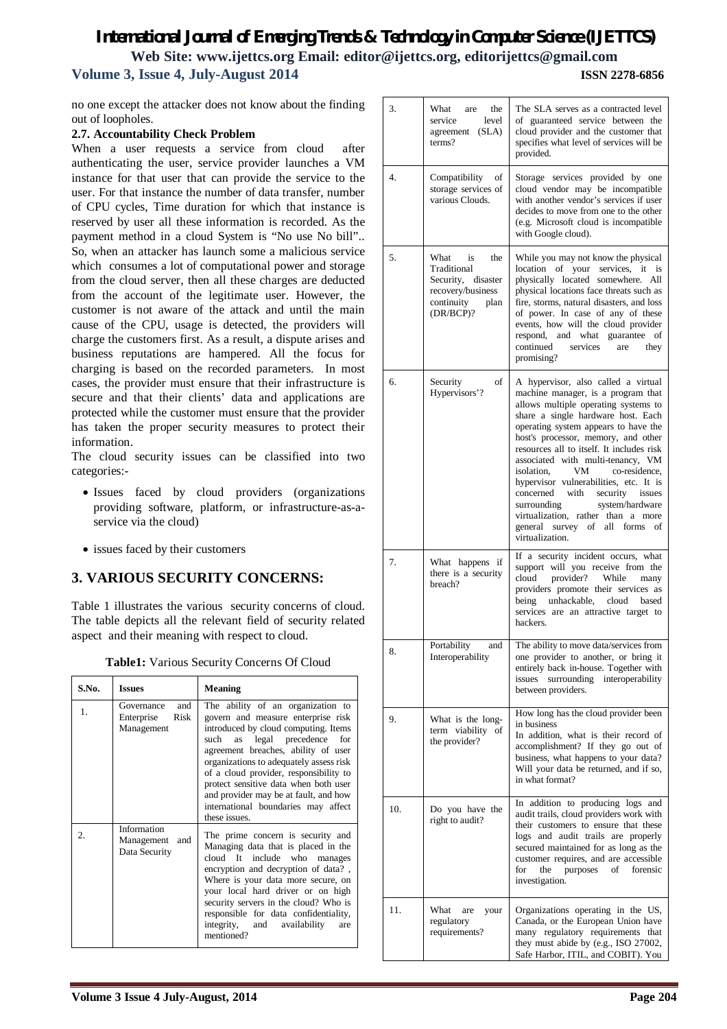no one except the attacker does not know about the finding out of loopholes.

#### **2.7. Accountability Check Problem**

When a user requests a service from cloud after authenticating the user, service provider launches a VM instance for that user that can provide the service to the user. For that instance the number of data transfer, number of CPU cycles, Time duration for which that instance is reserved by user all these information is recorded. As the payment method in a cloud System is "No use No bill".. So, when an attacker has launch some a malicious service which consumes a lot of computational power and storage from the cloud server, then all these charges are deducted from the account of the legitimate user. However, the customer is not aware of the attack and until the main cause of the CPU, usage is detected, the providers will charge the customers first. As a result, a dispute arises and business reputations are hampered. All the focus for charging is based on the recorded parameters. In most cases, the provider must ensure that their infrastructure is secure and that their clients' data and applications are protected while the customer must ensure that the provider has taken the proper security measures to protect their information.

The cloud security issues can be classified into two categories:-

- Issues faced by cloud providers (organizations providing software, platform, or infrastructure-as-aservice via the cloud)
- issues faced by their customers

# **3. VARIOUS SECURITY CONCERNS:**

Table 1 illustrates the various security concerns of cloud. The table depicts all the relevant field of security related aspect and their meaning with respect to cloud.

**Table1:** Various Security Concerns Of Cloud

| S.No.          | <b>Issues</b>                                         | Meaning                                                                                                                                                                                                                                                                                                                                                                                                                     |
|----------------|-------------------------------------------------------|-----------------------------------------------------------------------------------------------------------------------------------------------------------------------------------------------------------------------------------------------------------------------------------------------------------------------------------------------------------------------------------------------------------------------------|
| $\mathbf{1}$ . | and<br>Governance<br>Enterprise<br>Risk<br>Management | The ability of an organization to<br>govern and measure enterprise risk<br>introduced by cloud computing. Items<br>as legal precedence<br>such<br>for<br>agreement breaches, ability of user<br>organizations to adequately assess risk<br>of a cloud provider, responsibility to<br>protect sensitive data when both user<br>and provider may be at fault, and how<br>international boundaries may affect<br>these issues. |
| 2.             | Information<br>Management<br>and<br>Data Security     | The prime concern is security and<br>Managing data that is placed in the<br>cloud It include who manages<br>encryption and decryption of data?,<br>Where is your data more secure, on<br>your local hard driver or on high<br>security servers in the cloud? Who is<br>responsible for data confidentiality,<br>integrity, and availability<br>are<br>mentioned?                                                            |

| 3.  | the<br>What<br>are<br>service<br>level<br>agreement (SLA)<br>terms?                                            | The SLA serves as a contracted level<br>of guaranteed service between the<br>cloud provider and the customer that<br>specifies what level of services will be<br>provided.                                                                                                                                                                                                                                                                                                                                                                                                               |
|-----|----------------------------------------------------------------------------------------------------------------|------------------------------------------------------------------------------------------------------------------------------------------------------------------------------------------------------------------------------------------------------------------------------------------------------------------------------------------------------------------------------------------------------------------------------------------------------------------------------------------------------------------------------------------------------------------------------------------|
| 4.  | Compatibility<br>οf<br>storage services of<br>various Clouds.                                                  | Storage services provided by one<br>cloud vendor may be incompatible<br>with another vendor's services if user<br>decides to move from one to the other<br>(e.g. Microsoft cloud is incompatible)<br>with Google cloud).                                                                                                                                                                                                                                                                                                                                                                 |
| 5.  | What<br>the<br>is<br>Traditional<br>Security, disaster<br>recovery/business<br>continuity<br>plan<br>(DR/BCP)? | While you may not know the physical<br>location of your services, it is<br>physically located somewhere. All<br>physical locations face threats such as<br>fire, storms, natural disasters, and loss<br>of power. In case of any of these<br>events, how will the cloud provider<br>respond, and what<br>guarantee of<br>continued<br>services<br>they<br>are<br>promising?                                                                                                                                                                                                              |
| 6.  | of<br>Security<br>Hypervisors'?                                                                                | A hypervisor, also called a virtual<br>machine manager, is a program that<br>allows multiple operating systems to<br>share a single hardware host. Each<br>operating system appears to have the<br>host's processor, memory, and other<br>resources all to itself. It includes risk<br>associated with multi-tenancy, VM<br>VM<br>isolation,<br>co-residence.<br>hypervisor vulnerabilities, etc. It is<br>concerned with security<br>issues<br>system/hardware<br>surrounding<br>virtualization, rather<br>than<br>a more<br>general survey of<br>all<br>forms<br>of<br>virtualization. |
| 7.  | What happens if<br>there is a security<br>breach?                                                              | If a security incident occurs, what<br>support will you receive from the<br>provider?<br>cloud<br>While<br>many<br>providers promote their services as<br>unhackable.<br>being<br>cloud<br>based<br>services are an attractive target to<br>hackers.                                                                                                                                                                                                                                                                                                                                     |
| 8.  | Portability<br>and<br>Interoperability                                                                         | The ability to move data/services from<br>one provider to another, or bring it<br>entirely back in-house. Together with<br>issues surrounding interoperability<br>between providers.                                                                                                                                                                                                                                                                                                                                                                                                     |
| 9.  | What is the long-<br>term viability<br>οf<br>the provider?                                                     | How long has the cloud provider been<br>in business<br>In addition, what is their record of<br>accomplishment? If they go out of<br>business, what happens to your data?<br>Will your data be returned, and if so,<br>in what format?                                                                                                                                                                                                                                                                                                                                                    |
| 10. | Do you have the<br>right to audit?                                                                             | In addition to producing logs and<br>audit trails, cloud providers work with<br>their customers to ensure that these<br>logs and audit trails are properly<br>secured maintained for as long as the<br>customer requires, and are accessible<br>for<br>the purposes<br>of<br>forensic<br>investigation.                                                                                                                                                                                                                                                                                  |
| 11. | What<br>are<br>your<br>regulatory<br>requirements?                                                             | Organizations operating in the US,<br>Canada, or the European Union have<br>many regulatory requirements that<br>they must abide by (e.g., ISO 27002,<br>Safe Harbor, ITIL, and COBIT). You                                                                                                                                                                                                                                                                                                                                                                                              |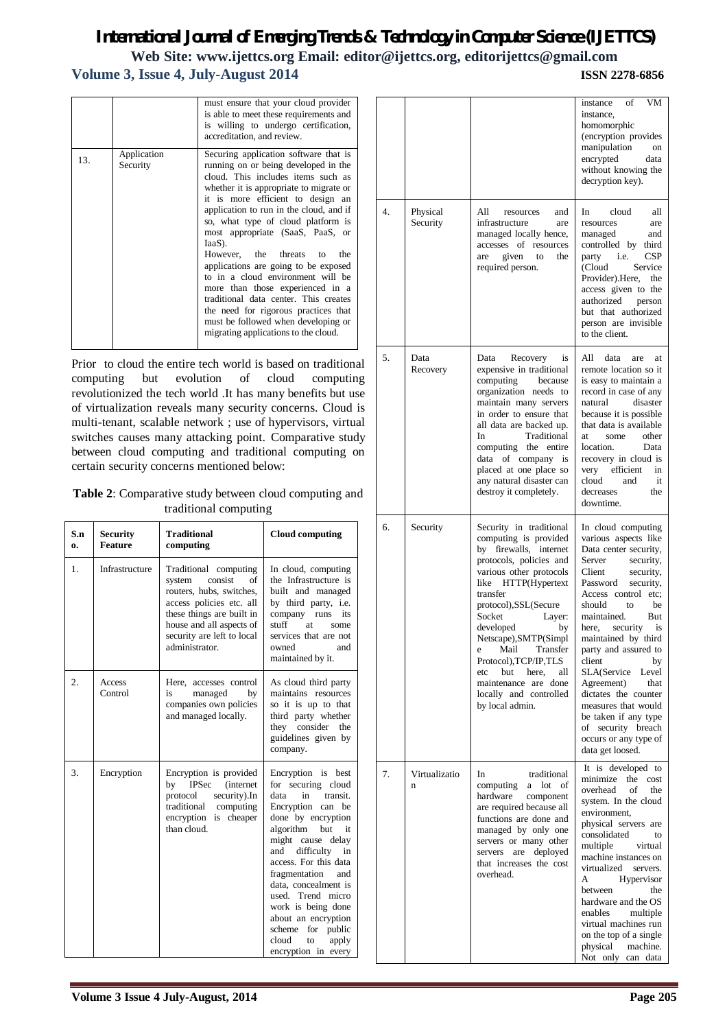# *International Journal of Emerging Trends & Technology in Computer Science (IJETTCS)*

**Web Site: www.ijettcs.org Email: editor@ijettcs.org, editorijettcs@gmail.com Volume 3, Issue 4, July-August 2014 ISSN 2278-6856**

|     |                         | must ensure that your cloud provider<br>is able to meet these requirements and<br>is willing to undergo certification,<br>accreditation, and review.                                                                                                                                                                                                                                                                                                                                                                                                                                                                                                  |
|-----|-------------------------|-------------------------------------------------------------------------------------------------------------------------------------------------------------------------------------------------------------------------------------------------------------------------------------------------------------------------------------------------------------------------------------------------------------------------------------------------------------------------------------------------------------------------------------------------------------------------------------------------------------------------------------------------------|
| 13. | Application<br>Security | Securing application software that is<br>running on or being developed in the<br>cloud. This includes items such as<br>whether it is appropriate to migrate or<br>it is more efficient to design an<br>application to run in the cloud, and if<br>so, what type of cloud platform is<br>most appropriate (SaaS, PaaS, or<br>IaaS).<br>However, the threats to<br>the<br>applications are going to be exposed<br>to in a cloud environment will be<br>more than those experienced in a<br>traditional data center. This creates<br>the need for rigorous practices that<br>must be followed when developing or<br>migrating applications to the cloud. |

Prior to cloud the entire tech world is based on traditional computing but evolution of cloud computing revolutionized the tech world .It has many benefits but use of virtualization reveals many security concerns. Cloud is multi-tenant, scalable network ; use of hypervisors, virtual switches causes many attacking point. Comparative study between cloud computing and traditional computing on certain security concerns mentioned below:

**Table 2**: Comparative study between cloud computing and traditional computing

| S.n<br>$\mathbf{0}$ | <b>Security</b><br><b>Feature</b> | <b>Traditional</b><br>computing                                                                                                                                                                                   | <b>Cloud computing</b>                                                                                                                                                                                                                                                                                                                                                                              |
|---------------------|-----------------------------------|-------------------------------------------------------------------------------------------------------------------------------------------------------------------------------------------------------------------|-----------------------------------------------------------------------------------------------------------------------------------------------------------------------------------------------------------------------------------------------------------------------------------------------------------------------------------------------------------------------------------------------------|
| 1.                  | Infrastructure                    | Traditional computing<br>consist<br>system<br>of<br>routers, hubs, switches,<br>access policies etc. all<br>these things are built in<br>house and all aspects of<br>security are left to local<br>administrator. | In cloud, computing<br>the Infrastructure is<br>built and managed<br>by third party, i.e.<br>company<br>runs<br>its<br>stuff<br>at.<br>some<br>services that are not<br>owned<br>and<br>maintained by it.                                                                                                                                                                                           |
| $\overline{2}$ .    | Access<br>Control                 | Here, accesses control<br>is<br>managed<br>by<br>companies own policies<br>and managed locally.                                                                                                                   | As cloud third party<br>maintains resources<br>so it is up to that<br>third party whether<br>they consider<br>the<br>guidelines given by<br>company.                                                                                                                                                                                                                                                |
| 3.                  | Encryption                        | Encryption is provided<br><b>IPSec</b><br>by<br>(internet)<br>protocol<br>security).In<br>traditional computing<br>encryption is cheaper<br>than cloud.                                                           | Encryption is best<br>for securing cloud<br>transit.<br>data<br>in<br>Encryption can be<br>done by encryption<br>algorithm<br>but<br>it<br>might cause delay<br>and difficulty<br>in<br>access. For this data<br>fragmentation and<br>data, concealment is<br>used. Trend micro<br>work is being done<br>about an encryption<br>scheme<br>for public<br>cloud<br>to<br>apply<br>encryption in every |

|    |                      |                                                                                                                                                                                                                                                                                                                                                                                                                       | VM<br>οf<br>instance<br>instance,<br>homomorphic<br>(encryption provides<br>manipulation<br>on<br>encrypted<br>data<br>without knowing the<br>decryption key).                                                                                                                                                                                                                                                                                                                                     |
|----|----------------------|-----------------------------------------------------------------------------------------------------------------------------------------------------------------------------------------------------------------------------------------------------------------------------------------------------------------------------------------------------------------------------------------------------------------------|----------------------------------------------------------------------------------------------------------------------------------------------------------------------------------------------------------------------------------------------------------------------------------------------------------------------------------------------------------------------------------------------------------------------------------------------------------------------------------------------------|
| 4. | Physical<br>Security | All<br>resources<br>and<br>infrastructure<br>are<br>managed locally hence,<br>accesses of resources<br>are<br>given<br>to<br>the<br>required person.                                                                                                                                                                                                                                                                  | cloud<br>In.<br>all<br>resources<br>are<br>managed<br>and<br>controlled by third<br>CSP<br>party<br>i.e.<br>(Cloud<br>Service<br>Provider). Here,<br>the<br>access given to the<br>authorized<br>person<br>but that authorized<br>person are invisible<br>to the client.                                                                                                                                                                                                                           |
| 5. | Data<br>Recovery     | Data<br>Recovery<br><i>is</i><br>expensive in traditional<br>computing<br>because<br>organization needs to<br>maintain many servers<br>in order to ensure that<br>all data are backed up.<br>Traditional<br>In<br>the entire<br>computing<br>data of company is<br>placed at one place so<br>any natural disaster can<br>destroy it completely.                                                                       | All<br>data<br>are<br>at.<br>remote location so it<br>is easy to maintain a<br>record in case of any<br>disaster<br>natural<br>because it is possible.<br>that data is available<br>at<br>some<br>other<br>location.<br>Data<br>recovery in cloud is<br>efficient<br>very<br>in<br>cloud<br>and<br>it<br>decreases<br>the<br>downtime.                                                                                                                                                             |
| 6. | Security             | Security in traditional<br>computing is provided<br>by firewalls, internet<br>protocols, policies and<br>various other protocols<br>like<br>HTTP(Hypertext<br>transfer<br>protocol), SSL(Secure<br>Socket<br>Layer:<br>developed<br>by<br>Netscape), SMTP(Simpl<br>Mail<br>Transfer<br>e<br>Protocol), TCP/IP, TLS<br>but<br>here,<br>etc<br>all<br>maintenance are done<br>locally and controlled<br>by local admin. | In cloud computing<br>various aspects like<br>Data center security,<br>Server<br>security,<br>Client<br>security,<br>Password<br>security.<br>Access control<br>etc:<br>should<br>be<br>to<br>maintained.<br>But<br>security<br>is<br>here,<br>maintained by third<br>party and assured to<br>client<br>by<br>SLA(Service<br>Level<br>Agreement)<br>that<br>dictates the counter<br>measures that would<br>be taken if any type<br>of security breach<br>occurs or any type of<br>data get loosed. |
| 7. | Virtualizatio<br>n   | traditional<br>In<br>lot of<br>computing<br>a<br>hardware<br>component<br>are required because all<br>functions are done and<br>managed by only one<br>servers or many other<br>are<br>deployed<br>servers<br>that increases the cost<br>overhead.                                                                                                                                                                    | It is developed to<br>minimize<br>the<br>cost<br>of<br>overhead<br>the<br>system. In the cloud<br>environment,<br>physical servers are<br>consolidated<br>to<br>multiple<br>virtual<br>machine instances on<br>virtualized<br>servers.<br>A<br>Hypervisor<br>between<br>the<br>hardware and the OS<br>enables<br>multiple<br>virtual machines run<br>on the top of a single<br>physical<br>machine.<br>Not only can data                                                                           |